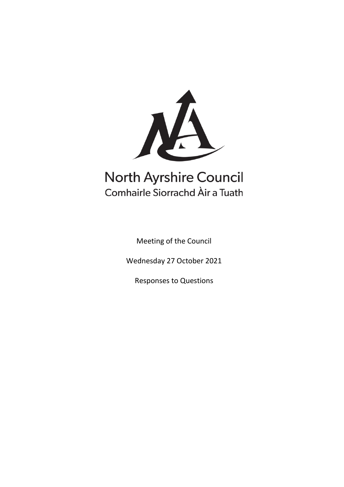

# **North Ayrshire Council** Comhairle Siorrachd Àir a Tuath

Meeting of the Council

Wednesday 27 October 2021

Responses to Questions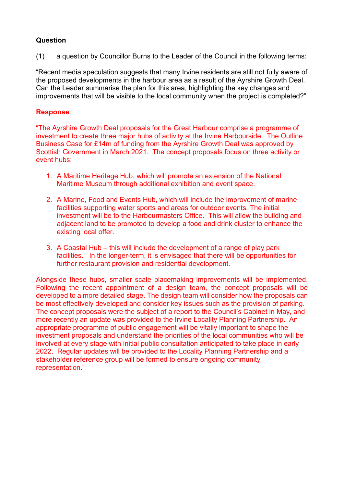(1) a question by Councillor Burns to the Leader of the Council in the following terms:

"Recent media speculation suggests that many Irvine residents are still not fully aware of the proposed developments in the harbour area as a result of the Ayrshire Growth Deal. Can the Leader summarise the plan for this area, highlighting the key changes and improvements that will be visible to the local community when the project is completed?"

# **Response**

"The Ayrshire Growth Deal proposals for the Great Harbour comprise a programme of investment to create three major hubs of activity at the Irvine Harbourside. The Outline Business Case for £14m of funding from the Ayrshire Growth Deal was approved by Scottish Government in March 2021. The concept proposals focus on three activity or event hubs:

- 1. A Maritime Heritage Hub, which will promote an extension of the National Maritime Museum through additional exhibition and event space.
- 2. A Marine, Food and Events Hub, which will include the improvement of marine facilities supporting water sports and areas for outdoor events. The initial investment will be to the Harbourmasters Office. This will allow the building and adjacent land to be promoted to develop a food and drink cluster to enhance the existing local offer.
- 3. A Coastal Hub this will include the development of a range of play park facilities. In the longer-term, it is envisaged that there will be opportunities for further restaurant provision and residential development.

Alongside these hubs, smaller scale placemaking improvements will be implemented. Following the recent appointment of a design team, the concept proposals will be developed to a more detailed stage. The design team will consider how the proposals can be most effectively developed and consider key issues such as the provision of parking. The concept proposals were the subject of a report to the Council's Cabinet in May, and more recently an update was provided to the Irvine Locality Planning Partnership. An appropriate programme of public engagement will be vitally important to shape the investment proposals and understand the priorities of the local communities who will be involved at every stage with initial public consultation anticipated to take place in early 2022. Regular updates will be provided to the Locality Planning Partnership and a stakeholder reference group will be formed to ensure ongoing community representation."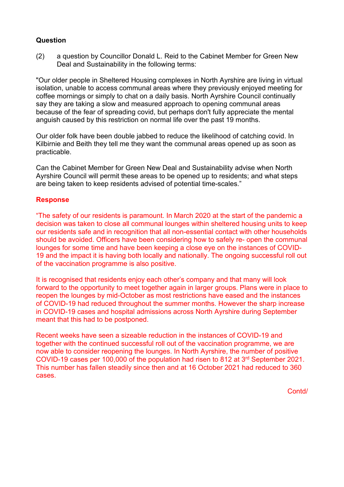(2) a question by Councillor Donald L. Reid to the Cabinet Member for Green New Deal and Sustainability in the following terms:

"Our older people in Sheltered Housing complexes in North Ayrshire are living in virtual isolation, unable to access communal areas where they previously enjoyed meeting for coffee mornings or simply to chat on a daily basis. North Ayrshire Council continually say they are taking a slow and measured approach to opening communal areas because of the fear of spreading covid, but perhaps don't fully appreciate the mental anguish caused by this restriction on normal life over the past 19 months.

Our older folk have been double jabbed to reduce the likelihood of catching covid. In Kilbirnie and Beith they tell me they want the communal areas opened up as soon as practicable.

Can the Cabinet Member for Green New Deal and Sustainability advise when North Ayrshire Council will permit these areas to be opened up to residents; and what steps are being taken to keep residents advised of potential time-scales."

# **Response**

"The safety of our residents is paramount. In March 2020 at the start of the pandemic a decision was taken to close all communal lounges within sheltered housing units to keep our residents safe and in recognition that all non-essential contact with other households should be avoided. Officers have been considering how to safely re- open the communal lounges for some time and have been keeping a close eye on the instances of COVID-19 and the impact it is having both locally and nationally. The ongoing successful roll out of the vaccination programme is also positive.

It is recognised that residents enjoy each other's company and that many will look forward to the opportunity to meet together again in larger groups. Plans were in place to reopen the lounges by mid-October as most restrictions have eased and the instances of COVID-19 had reduced throughout the summer months. However the sharp increase in COVID-19 cases and hospital admissions across North Ayrshire during September meant that this had to be postponed.

Recent weeks have seen a sizeable reduction in the instances of COVID-19 and together with the continued successful roll out of the vaccination programme, we are now able to consider reopening the lounges. In North Ayrshire, the number of positive COVID-19 cases per 100,000 of the population had risen to 812 at 3rd September 2021. This number has fallen steadily since then and at 16 October 2021 had reduced to 360 cases.

Contd/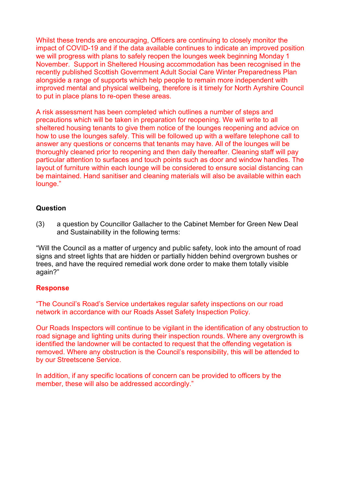Whilst these trends are encouraging, Officers are continuing to closely monitor the impact of COVID-19 and if the data available continues to indicate an improved position we will progress with plans to safely reopen the lounges week beginning Monday 1 November. Support in Sheltered Housing accommodation has been recognised in the recently published Scottish Government Adult Social Care Winter Preparedness Plan alongside a range of supports which help people to remain more independent with improved mental and physical wellbeing, therefore is it timely for North Ayrshire Council to put in place plans to re-open these areas.

A risk assessment has been completed which outlines a number of steps and precautions which will be taken in preparation for reopening. We will write to all sheltered housing tenants to give them notice of the lounges reopening and advice on how to use the lounges safely. This will be followed up with a welfare telephone call to answer any questions or concerns that tenants may have. All of the lounges will be thoroughly cleaned prior to reopening and then daily thereafter. Cleaning staff will pay particular attention to surfaces and touch points such as door and window handles. The layout of furniture within each lounge will be considered to ensure social distancing can be maintained. Hand sanitiser and cleaning materials will also be available within each lounge."

## **Question**

(3) a question by Councillor Gallacher to the Cabinet Member for Green New Deal and Sustainability in the following terms:

"Will the Council as a matter of urgency and public safety, look into the amount of road signs and street lights that are hidden or partially hidden behind overgrown bushes or trees, and have the required remedial work done order to make them totally visible again?"

#### **Response**

"The Council's Road's Service undertakes regular safety inspections on our road network in accordance with our Roads Asset Safety Inspection Policy.

Our Roads Inspectors will continue to be vigilant in the identification of any obstruction to road signage and lighting units during their inspection rounds. Where any overgrowth is identified the landowner will be contacted to request that the offending vegetation is removed. Where any obstruction is the Council's responsibility, this will be attended to by our Streetscene Service.

In addition, if any specific locations of concern can be provided to officers by the member, these will also be addressed accordingly."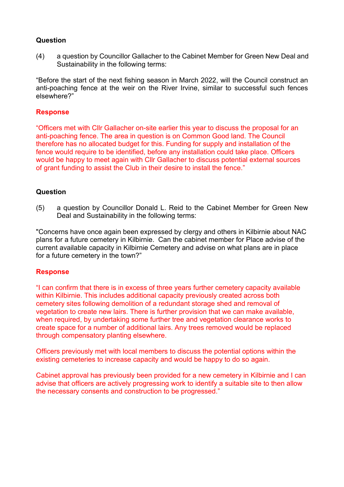(4) a question by Councillor Gallacher to the Cabinet Member for Green New Deal and Sustainability in the following terms:

"Before the start of the next fishing season in March 2022, will the Council construct an anti-poaching fence at the weir on the River Irvine, similar to successful such fences elsewhere?"

## **Response**

"Officers met with Cllr Gallacher on-site earlier this year to discuss the proposal for an anti-poaching fence. The area in question is on Common Good land. The Council therefore has no allocated budget for this. Funding for supply and installation of the fence would require to be identified, before any installation could take place. Officers would be happy to meet again with Cllr Gallacher to discuss potential external sources of grant funding to assist the Club in their desire to install the fence."

## **Question**

(5) a question by Councillor Donald L. Reid to the Cabinet Member for Green New Deal and Sustainability in the following terms:

"Concerns have once again been expressed by clergy and others in Kilbirnie about NAC plans for a future cemetery in Kilbirnie. Can the cabinet member for Place advise of the current available capacity in Kilbirnie Cemetery and advise on what plans are in place for a future cemetery in the town?"

#### **Response**

"I can confirm that there is in excess of three years further cemetery capacity available within Kilbirnie. This includes additional capacity previously created across both cemetery sites following demolition of a redundant storage shed and removal of vegetation to create new lairs. There is further provision that we can make available, when required, by undertaking some further tree and vegetation clearance works to create space for a number of additional lairs. Any trees removed would be replaced through compensatory planting elsewhere.

Officers previously met with local members to discuss the potential options within the existing cemeteries to increase capacity and would be happy to do so again.

Cabinet approval has previously been provided for a new cemetery in Kilbirnie and I can advise that officers are actively progressing work to identify a suitable site to then allow the necessary consents and construction to be progressed."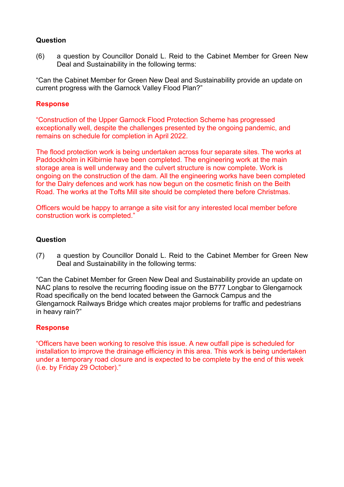(6) a question by Councillor Donald L. Reid to the Cabinet Member for Green New Deal and Sustainability in the following terms:

"Can the Cabinet Member for Green New Deal and Sustainability provide an update on current progress with the Garnock Valley Flood Plan?"

# **Response**

"Construction of the Upper Garnock Flood Protection Scheme has progressed exceptionally well, despite the challenges presented by the ongoing pandemic, and remains on schedule for completion in April 2022.

The flood protection work is being undertaken across four separate sites. The works at Paddockholm in Kilbirnie have been completed. The engineering work at the main storage area is well underway and the culvert structure is now complete. Work is ongoing on the construction of the dam. All the engineering works have been completed for the Dalry defences and work has now begun on the cosmetic finish on the Beith Road. The works at the Tofts Mill site should be completed there before Christmas.

Officers would be happy to arrange a site visit for any interested local member before construction work is completed."

## **Question**

(7) a question by Councillor Donald L. Reid to the Cabinet Member for Green New Deal and Sustainability in the following terms:

"Can the Cabinet Member for Green New Deal and Sustainability provide an update on NAC plans to resolve the recurring flooding issue on the B777 Longbar to Glengarnock Road specifically on the bend located between the Garnock Campus and the Glengarnock Railways Bridge which creates major problems for traffic and pedestrians in heavy rain?"

# **Response**

"Officers have been working to resolve this issue. A new outfall pipe is scheduled for installation to improve the drainage efficiency in this area. This work is being undertaken under a temporary road closure and is expected to be complete by the end of this week (i.e. by Friday 29 October)."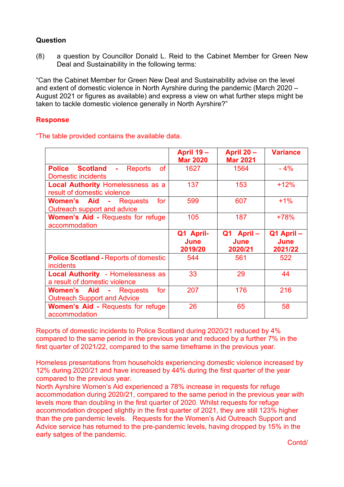(8) a question by Councillor Donald L. Reid to the Cabinet Member for Green New Deal and Sustainability in the following terms:

"Can the Cabinet Member for Green New Deal and Sustainability advise on the level and extent of domestic violence in North Ayrshire during the pandemic (March 2020 – August 2021 or figures as available) and express a view on what further steps might be taken to tackle domestic violence generally in North Ayrshire?"

# **Response**

|                                                                                                      | <b>April 19 -</b><br><b>Mar 2020</b> | April 20 -<br><b>Mar 2021</b> | <b>Variance</b>              |
|------------------------------------------------------------------------------------------------------|--------------------------------------|-------------------------------|------------------------------|
| <b>of</b><br><b>Police Scotland</b><br><b>Reports</b><br>$\blacksquare$<br><b>Domestic incidents</b> | 1627                                 | 1564                          | $-4%$                        |
| <b>Local Authority Homelessness as a</b><br>result of domestic violence                              | 137                                  | 153                           | $+12%$                       |
| Women's Aid<br>- Requests<br>for<br>Outreach support and advice                                      | 599                                  | 607                           | $+1%$                        |
| <b>Women's Aid - Requests for refuge</b><br>accommodation                                            | 105                                  | 187                           | $+78%$                       |
|                                                                                                      | Q1 April-<br>June<br>2019/20         | Q1 April-<br>June<br>2020/21  | Q1 April-<br>June<br>2021/22 |
| <b>Police Scotland - Reports of domestic</b><br><i>incidents</i>                                     | 544                                  | 561                           | 522                          |
| <b>Local Authority</b> - Homelessness as<br>a result of domestic violence                            | 33                                   | 29                            | 44                           |
| <b>Women's Aid - Requests</b><br>for<br><b>Outreach Support and Advice</b>                           | 207                                  | 176                           | 216                          |
| <b>Women's Aid - Requests for refuge</b><br>accommodation                                            | 26                                   | 65                            | 58                           |

"The table provided contains the available data.

Reports of domestic incidents to Police Scotland during 2020/21 reduced by 4% compared to the same period in the previous year and reduced by a further 7% in the first quarter of 2021/22, compared to the same timeframe in the previous year.

Homeless presentations from households experiencing domestic violence increased by 12% during 2020/21 and have increased by 44% during the first quarter of the year compared to the previous year.

North Ayrshire Women's Aid experienced a 78% increase in requests for refuge accommodation during 2020/21, compared to the same period in the previous year with levels more than doubling in the first quarter of 2020. Whilst requests for refuge accommodation dropped slightly in the first quarter of 2021, they are still 123% higher than the pre pandemic levels. Requests for the Women's Aid Outreach Support and Advice service has returned to the pre-pandemic levels, having dropped by 15% in the early satges of the pandemic.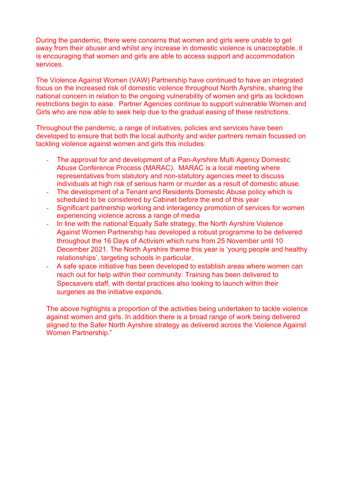During the pandemic, there were concerns that women and girls were unable to get away from their abuser and whilst any increase in domestic violence is unacceptable, it is encouraging that women and girls are able to access support and accommodation services.

The Violence Against Women (VAW) Partnership have continued to have an integrated focus on the increased risk of domestic violence throughout North Ayrshire, sharing the national concern in relation to the ongoing vulnerability of women and girls as lockdown restrictions begin to ease. Partner Agencies continue to support vulnerable Women and Girls who are now able to seek help due to the gradual easing of these restrictions.

Throughout the pandemic, a range of initiatives, policies and services have been developed to ensure that both the local authority and wider partners remain focussed on tackling violence against women and girls this includes:

- The approval for and development of a Pan-Ayrshire Multi Agency Domestic Abuse Conference Process (MARAC). MARAC is a local meeting where representatives from statutory and non-statutory agencies meet to discuss individuals at high risk of serious harm or murder as a result of domestic abuse.
- The development of a Tenant and Residents Domestic Abuse policy which is scheduled to be considered by Cabinet before the end of this year
- Significant partnership working and interagency promotion of services for women experiencing violence across a range of media
- In line with the national Equally Safe strategy, the North Ayrshire Violence Against Women Partnership has developed a robust programme to be delivered throughout the 16 Days of Activism which runs from 25 November until 10 December 2021. The North Ayrshire theme this year is 'young people and healthy relationships', targeting schools in particular.
- A safe space initiative has been developed to establish areas where women can reach out for help within their community. Training has been delivered to Specsavers staff, with dental practices also looking to launch within their surgeries as the initiative expands.

The above highlights a proportion of the activities being undertaken to tackle violence against women and girls. In addition there is a broad range of work being delivered aligned to the Safer North Ayrshire strategy as delivered across the Violence Against Women Partnership."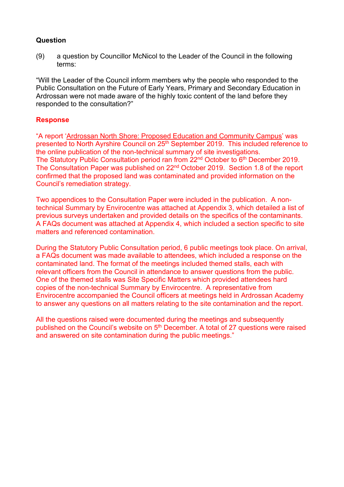(9) a question by Councillor McNicol to the Leader of the Council in the following terms:

"Will the Leader of the Council inform members why the people who responded to the Public Consultation on the Future of Early Years, Primary and Secondary Education in Ardrossan were not made aware of the highly toxic content of the land before they responded to the consultation?"

## **Response**

"A report ['Ardrossan North Shore: Proposed Education and Community Campus'](https://north-ayrshire.cmis.uk.com/north-ayrshire/Document.ashx?czJKcaeAi5tUFL1DTL2UE4zNRBcoShgo=OjNZbnN%2bjtpf0iu1XuH4i%2bOT5YdhCHuMKnZN9LIsyVVOmnu6cyAxaw%3d%3d&rUzwRPf%2bZ3zd4E7Ikn8Lyw%3d%3d=pwRE6AGJFLDNlh225F5QMaQWCtPHwdhUfCZ%2fLUQzgA2uL5jNRG4jdQ%3d%3d&mCTIbCubSFfXsDGW9IXnlg%3d%3d=hFflUdN3100%3d&kCx1AnS9%2fpWZQ40DXFvdEw%3d%3d=hFflUdN3100%3d&uJovDxwdjMPoYv%2bAJvYtyA%3d%3d=ctNJFf55vVA%3d&FgPlIEJYlotS%2bYGoBi5olA%3d%3d=NHdURQburHA%3d&d9Qjj0ag1Pd993jsyOJqFvmyB7X0CSQK=ctNJFf55vVA%3d&WGewmoAfeNR9xqBux0r1Q8Za60lavYmz=ctNJFf55vVA%3d&WGewmoAfeNQ16B2MHuCpMRKZMwaG1PaO=ctNJFf55vVA%3d) was presented to North Ayrshire Council on 25<sup>th</sup> September 2019. This included reference to the online publication of the non-technical summary of site investigations. The Statutory Public Consultation period ran from 22<sup>nd</sup> October to 6<sup>th</sup> December 2019. The Consultation Paper was published on 22nd October 2019. Section 1.8 of the report confirmed that the proposed land was contaminated and provided information on the Council's remediation strategy.

Two appendices to the Consultation Paper were included in the publication. A nontechnical Summary by Envirocentre was attached at Appendix 3, which detailed a list of previous surveys undertaken and provided details on the specifics of the contaminants. A FAQs document was attached at Appendix 4, which included a section specific to site matters and referenced contamination.

During the Statutory Public Consultation period, 6 public meetings took place. On arrival, a FAQs document was made available to attendees, which included a response on the contaminated land. The format of the meetings included themed stalls, each with relevant officers from the Council in attendance to answer questions from the public. One of the themed stalls was Site Specific Matters which provided attendees hard copies of the non-technical Summary by Envirocentre. A representative from Envirocentre accompanied the Council officers at meetings held in Ardrossan Academy to answer any questions on all matters relating to the site contamination and the report.

All the questions raised were documented during the meetings and subsequently published on the Council's website on 5<sup>th</sup> December. A total of 27 questions were raised and answered on site contamination during the public meetings."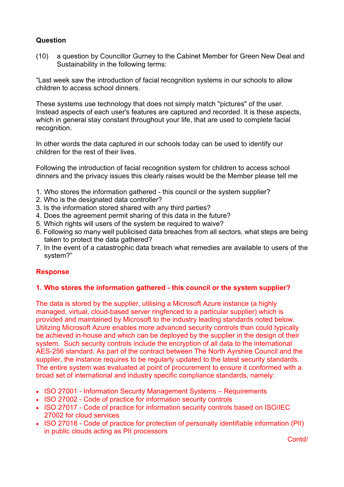(10) a question by Councillor Gurney to the Cabinet Member for Green New Deal and Sustainability in the following terms:

"Last week saw the introduction of facial recognition systems in our schools to allow children to access school dinners.

These systems use technology that does not simply match "pictures" of the user. Instead aspects of each user's features are captured and recorded. It is these aspects, which in general stay constant throughout your life, that are used to complete facial recognition.

In other words the data captured in our schools today can be used to identify our children for the rest of their lives.

Following the introduction of facial recognition system for children to access school dinners and the privacy issues this clearly raises would be the Member please tell me

- 1. Who stores the information gathered this council or the system supplier?
- 2. Who is the designated data controller?
- 3. Is the information stored shared with any third parties?
- 4. Does the agreement permit sharing of this data in the future?
- 5. Which rights will users of the system be required to waive?
- 6. Following so many well publicised data breaches from all sectors, what steps are being taken to protect the data gathered?
- 7. In the event of a catastrophic data breach what remedies are available to users of the system?"

# **Response**

# **1. Who stores the information gathered - this council or the system supplier?**

The data is stored by the supplier, utilising a Microsoft Azure instance (a highly managed, virtual, cloud-based server ringfenced to a particular supplier) which is provided and maintained by Microsoft to the industry leading standards noted below. Utilizing Microsoft Azure enables more advanced security controls than could typically be achieved in-house and which can be deployed by the supplier in the design of their system. Such security controls include the encryption of all data to the international AES-256 standard. As part of the contract between The North Ayrshire Council and the supplier, the instance requires to be regularly updated to the latest security standards. The entire system was evaluated at point of procurement to ensure it conformed with a broad set of international and industry specific compliance standards, namely:

- ISO 27001 Information Security Management Systems Requirements
- ISO 27002 Code of practice for information security controls
- ISO 27017 Code of practice for information security controls based on ISO/IEC 27002 for cloud services
- ISO 27018 Code of practice for protection of personally identifiable information (PII) in public clouds acting as PII processors

Contd/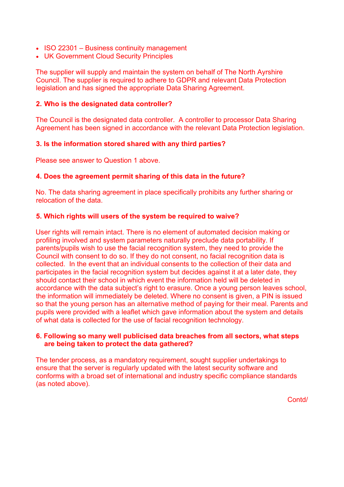- ISO 22301 Business continuity management
- UK Government Cloud Security Principles

The supplier will supply and maintain the system on behalf of The North Ayrshire Council. The supplier is required to adhere to GDPR and relevant Data Protection legislation and has signed the appropriate Data Sharing Agreement.

#### **2. Who is the designated data controller?**

The Council is the designated data controller. A controller to processor Data Sharing Agreement has been signed in accordance with the relevant Data Protection legislation.

## **3. Is the information stored shared with any third parties?**

Please see answer to Question 1 above.

# **4. Does the agreement permit sharing of this data in the future?**

No. The data sharing agreement in place specifically prohibits any further sharing or relocation of the data.

## **5. Which rights will users of the system be required to waive?**

User rights will remain intact. There is no element of automated decision making or profiling involved and system parameters naturally preclude data portability. If parents/pupils wish to use the facial recognition system, they need to provide the Council with consent to do so. If they do not consent, no facial recognition data is collected. In the event that an individual consents to the collection of their data and participates in the facial recognition system but decides against it at a later date, they should contact their school in which event the information held will be deleted in accordance with the data subject's right to erasure. Once a young person leaves school, the information will immediately be deleted. Where no consent is given, a PIN is issued so that the young person has an alternative method of paying for their meal. Parents and pupils were provided with a leaflet which gave information about the system and details of what data is collected for the use of facial recognition technology.

## **6. Following so many well publicised data breaches from all sectors, what steps are being taken to protect the data gathered?**

The tender process, as a mandatory requirement, sought supplier undertakings to ensure that the server is regularly updated with the latest security software and conforms with a broad set of international and industry specific compliance standards (as noted above).

Contd/